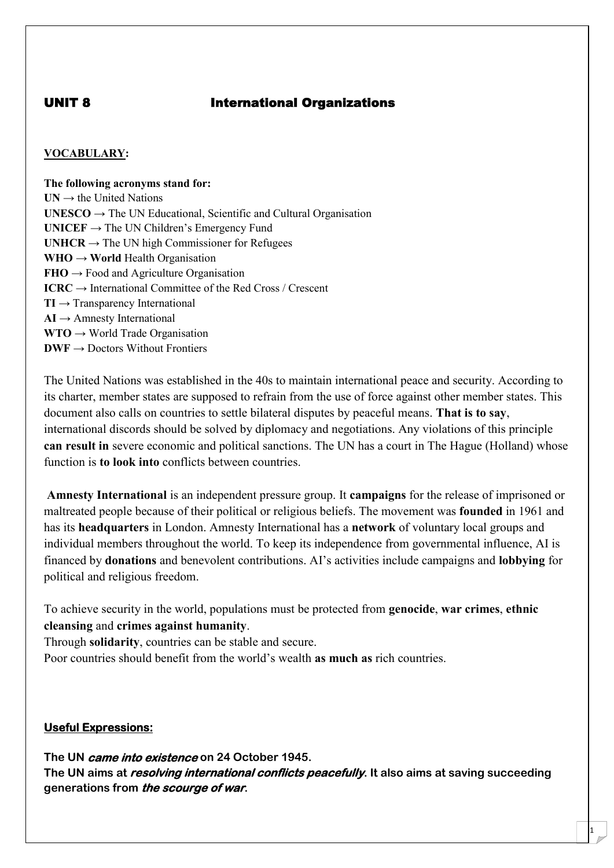# **UNIT 8 International Organizations**

### **VOCABULARY:**

**The following acronyms stand for:**  $UN \rightarrow$  the United Nations **UNESCO**  $\rightarrow$  The UN Educational, Scientific and Cultural Organisation **UNICEF**  $\rightarrow$  The UN Children's Emergency Fund **UNHCR**  $\rightarrow$  The UN high Commissioner for Refugees  $WHO \rightarrow World Health Organization$  $FHO \rightarrow$  Food and Agriculture Organisation **ICRC →** International Committee of the Red Cross / Crescent **TI →** Transparency International **AI →** Amnesty International **WTO →** World Trade Organisation **DWF →** Doctors Without Frontiers

The United Nations was established in the 40s to maintain international peace and security. According to its charter, member states are supposed to refrain from the use of force against other member states. This document also calls on countries to settle bilateral disputes by peaceful means. **That is to say**, international discords should be solved by diplomacy and negotiations. Any violations of this principle **can result in** severe economic and political sanctions. The UN has a court in The Hague (Holland) whose function is **to look into** conflicts between countries.

**Amnesty International** is an independent pressure group. It **campaigns** for the release of imprisoned or maltreated people because of their political or religious beliefs. The movement was **founded** in 1961 and has its **headquarters** in London. Amnesty International has a **network** of voluntary local groups and individual members throughout the world. To keep its independence from governmental influence, AI is financed by **donations** and benevolent contributions. AI's activities include campaigns and **lobbying** for political and religious freedom.

To achieve security in the world, populations must be protected from **genocide**, **war crimes**, **ethnic cleansing** and **crimes against humanity**.

Through **solidarity**, countries can be stable and secure.

Poor countries should benefit from the world's wealth **as much as** rich countries.

### **Useful Expressions:**

**The UN** *came into existence* **on 24 October 1945. The UN aims at** *resolving international conflicts peacefully***. It also aims at saving succeeding generations from** *the scourge of war***.**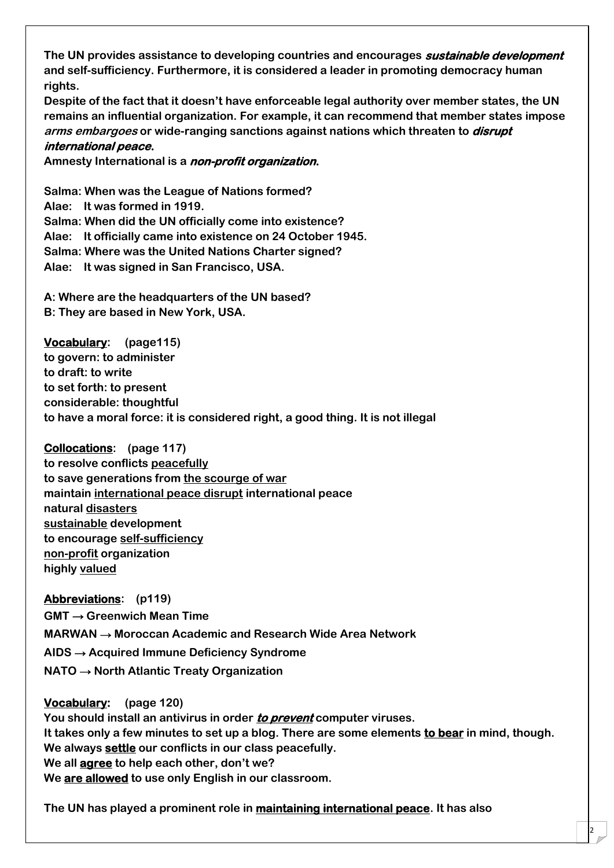**The UN provides assistance to developing countries and encourages** *s[ustainable development](http://www.9alami.com/)* **and self-sufficiency. Furthermore, it is considered a leader in promoting democracy human rights.**

**Despite of the fact that it doesn't have enforceable legal authority over member states, the UN remains an influential organization. For example, it can recommend that member states impose** *arms embargoes* **or wide-ranging sanctions against nations which threaten to** *disrupt international peace***.**

**Amnesty International is a** *non-profit organization***.**

**Salma: When was the League of Nations formed? Alae: It was formed in 1919. Salma: When did the UN officially come into existence? Alae: It officially came into existence on 24 October 1945. Salma: Where was the United Nations Charter signed? Alae: It was signed in San Francisco, USA.**

**A: Where are the headquarters of the UN based? B: They are based in New York, USA.**

**Vocabulary: (page115) to govern: to administer to draft: to write to set forth: to present considerable: thoughtful to have a moral force: it is considered right, a good thing. It is not illegal**

**Collocations: (page 117)**

**to resolve conflicts peacefully to save generations from the scourge of war maintain international peace disrupt international peace natural disasters sustainable development to encourage self-sufficiency non-profit organization highly valued**

**Abbreviations: (p119)**

**GMT → Greenwich Mean Time MARWAN → Moroccan Academic and Research Wide Area Network AIDS → Acquired Immune Deficiency Syndrome NATO → North Atlantic Treaty Organization**

**Vocabulary: (page 120) You should install an antivirus in order** *to prevent* **computer viruses. It takes only a few minutes to set up a blog. There are some elements to bear in mind, though. We always settle our conflicts in our class peacefully. We all agree to help each other, don't we? We are allowed to use only English in our classroom.**

2 |

**The UN has played a prominent role in maintaining international peace. It has also**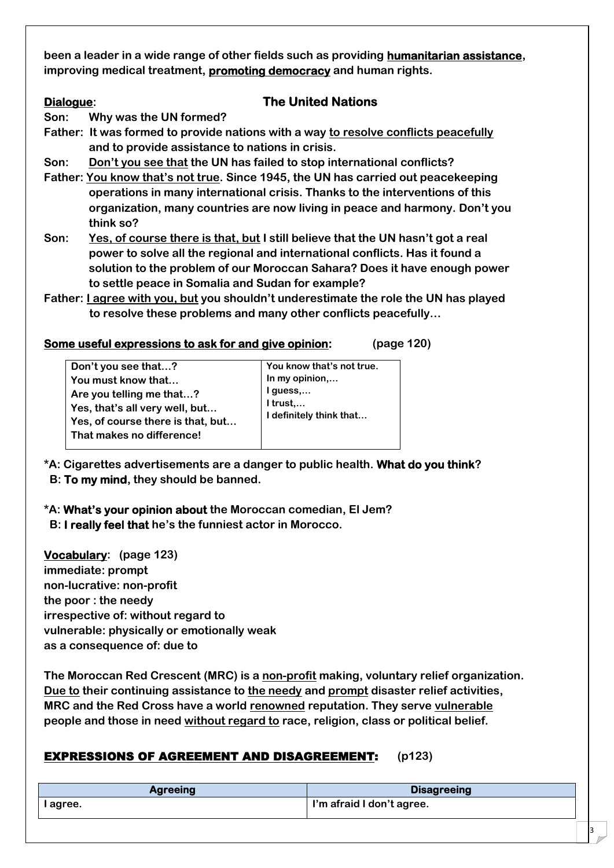**been a leader in a wide range of other fields such as providing humanita[rian assistance](http://www.9alami.com/), improving medical treatment, promoting democracy and human rights.**

### **Dialogue: The United Nations**

- **Son: Why was the UN formed?**
- **Father: It was formed to provide nations with a way to resolve conflicts peacefully and to provide assistance to nations in crisis.**
- **Son: Don't you see that the UN has failed to stop international conflicts?**
- **Father: You know that's not true. Since 1945, the UN has carried out peacekeeping operations in many international crisis. Thanks to the interventions of this organization, many countries are now living in peace and harmony. Don't you think so?**
- **Son: Yes, of course there is that, but I still believe that the UN hasn't got a real power to solve all the regional and international conflicts. Has it found a solution to the problem of our Moroccan Sahara? Does it have enough power to settle peace in Somalia and Sudan for example?**
- **Father: I agree with you, but you shouldn't underestimate the role the UN has played to resolve these problems and many other conflicts peacefully…**

## **Some useful expressions to ask for and give opinion: (page 120)**

**\*A: Cigarettes advertisements are a danger to public health. What do you think? B: To my mind, they should be banned.**

**\*A: What's your opinion about the Moroccan comedian, El Jem? B: I really feel that he's the funniest actor in Morocco.**

**Vocabulary: (page 123) immediate: prompt non-lucrative: non-profit the poor : the needy irrespective of: without regard to vulnerable: physically or emotionally weak as a consequence of: due to**

**The Moroccan Red Crescent (MRC) is a non-profit making, voluntary relief organization. Due to their continuing assistance to the needy and prompt disaster relief activities, MRC and the Red Cross have a world renowned reputation. They serve vulnerable people and those in need without regard to race, religion, class or political belief.**

# **EXPRESSIONS OF AGREEMENT AND DISAGREEMENT: (p123)**

| <b>Agreeing</b> | <b>Disagreeing</b>        |
|-----------------|---------------------------|
| I agree.        | I'm afraid I don't agree. |

3